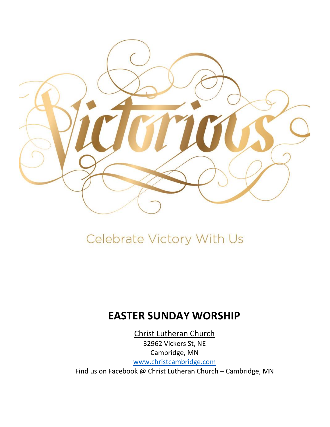

# Celebrate Victory With Us

# **EASTER SUNDAY WORSHIP**

Christ Lutheran Church 32962 Vickers St, NE Cambridge, MN [www.christcambridge.com](http://www.christcambridge.com/) Find us on Facebook @ Christ Lutheran Church – Cambridge, MN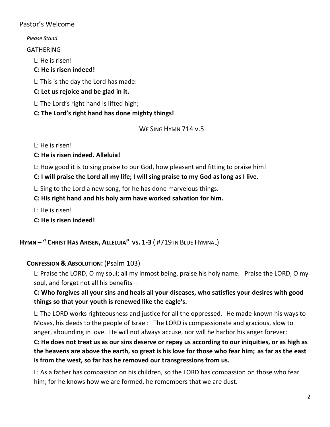#### Pastor's Welcome

*Please Stand.* GATHERING L: He is risen! **C: He is risen indeed!** L: This is the day the Lord has made: **C: Let us rejoice and be glad in it.** L: The Lord's right hand is lifted high; **C: The Lord's right hand has done mighty things!** WE SING HYMN 714 v.5

L: He is risen!

**C: He is risen indeed. Alleluia!**

L: How good it is to sing praise to our God, how pleasant and fitting to praise him!

**C: I will praise the Lord all my life; I will sing praise to my God as long as I live.**

L: Sing to the Lord a new song, for he has done marvelous things.

**C: His right hand and his holy arm have worked salvation for him.**

L: He is risen!

**C: He is risen indeed!**

**HYMN – " CHRIST HAS ARISEN, A[LLELUIA](https://youtu.be/OX-Xt-vBYPc)" VS. 1-3** ( #719 IN BLUE HYMNAL)

# **CONFESSION & ABSOLUTION:** (Psalm 103)

L: Praise the LORD, O my soul; all my inmost being, praise his holy name. Praise the LORD, O my soul, and forget not all his benefits—

# **C: Who forgives all your sins and heals all your diseases, who satisfies your desires with good things so that your youth is renewed like the eagle's.**

L: The LORD works righteousness and justice for all the oppressed. He made known his ways to Moses, his deeds to the people of Israel: The LORD is compassionate and gracious, slow to anger, abounding in love. He will not always accuse, nor will he harbor his anger forever;

**C: He does not treat us as our sins deserve or repay us according to our iniquities, or as high as the heavens are above the earth, so great is his love for those who fear him; as far as the east is from the west, so far has he removed our transgressions from us.** 

L: As a father has compassion on his children, so the LORD has compassion on those who fear him; for he knows how we are formed, he remembers that we are dust.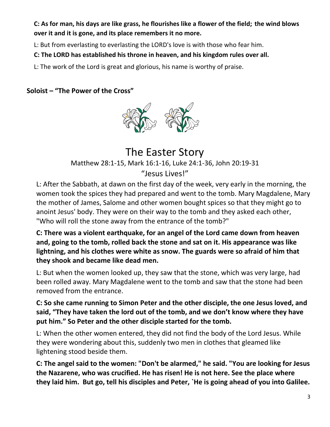**C: As for man, his days are like grass, he flourishes like a flower of the field; the wind blows over it and it is gone, and its place remembers it no more.** 

L: But from everlasting to everlasting the LORD's love is with those who fear him.

**C: The LORD has established his throne in heaven, and his kingdom rules over all.** 

L: The work of the Lord is great and glorious, his name is worthy of praise.

**Soloist – "The Power of the Cross"**



# The Easter Story Matthew 28:1-15, Mark 16:1-16, Luke 24:1-36, John 20:19-31 "Jesus Lives!"

L: After the Sabbath, at dawn on the first day of the week, very early in the morning, the women took the spices they had prepared and went to the tomb. Mary Magdalene, Mary the mother of James, Salome and other women bought spices so that they might go to anoint Jesus' body. They were on their way to the tomb and they asked each other, "Who will roll the stone away from the entrance of the tomb?"

**C: There was a violent earthquake, for an angel of the Lord came down from heaven and, going to the tomb, rolled back the stone and sat on it. His appearance was like lightning, and his clothes were white as snow. The guards were so afraid of him that they shook and became like dead men.** 

L: But when the women looked up, they saw that the stone, which was very large, had been rolled away. Mary Magdalene went to the tomb and saw that the stone had been removed from the entrance.

**C: So she came running to Simon Peter and the other disciple, the one Jesus loved, and said, "They have taken the lord out of the tomb, and we don't know where they have put him." So Peter and the other disciple started for the tomb.**

L: When the other women entered, they did not find the body of the Lord Jesus. While they were wondering about this, suddenly two men in clothes that gleamed like lightening stood beside them.

**C: The angel said to the women: "Don't be alarmed," he said. "You are looking for Jesus the Nazarene, who was crucified. He has risen! He is not here. See the place where they laid him. But go, tell his disciples and Peter, `He is going ahead of you into Galilee.**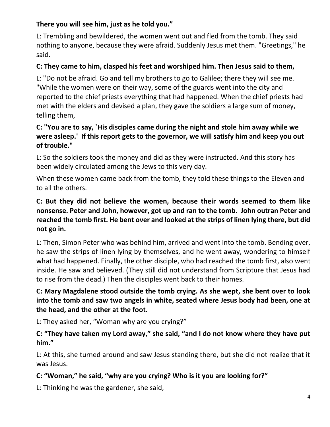# **There you will see him, just as he told you."**

L: Trembling and bewildered, the women went out and fled from the tomb. They said nothing to anyone, because they were afraid. Suddenly Jesus met them. "Greetings," he said.

# **C: They came to him, clasped his feet and worshiped him. Then Jesus said to them,**

L: "Do not be afraid. Go and tell my brothers to go to Galilee; there they will see me. "While the women were on their way, some of the guards went into the city and reported to the chief priests everything that had happened. When the chief priests had met with the elders and devised a plan, they gave the soldiers a large sum of money, telling them,

# **C: "You are to say, `His disciples came during the night and stole him away while we were asleep.' If this report gets to the governor, we will satisfy him and keep you out of trouble."**

L: So the soldiers took the money and did as they were instructed. And this story has been widely circulated among the Jews to this very day.

When these women came back from the tomb, they told these things to the Eleven and to all the others.

# **C: But they did not believe the women, because their words seemed to them like nonsense. Peter and John, however, got up and ran to the tomb. John outran Peter and reached the tomb first. He bent over and looked at the strips of linen lying there, but did not go in.**

L: Then, Simon Peter who was behind him, arrived and went into the tomb. Bending over, he saw the strips of linen lying by themselves, and he went away, wondering to himself what had happened. Finally, the other disciple, who had reached the tomb first, also went inside. He saw and believed. (They still did not understand from Scripture that Jesus had to rise from the dead.) Then the disciples went back to their homes.

# **C: Mary Magdalene stood outside the tomb crying. As she wept, she bent over to look into the tomb and saw two angels in white, seated where Jesus body had been, one at the head, and the other at the foot.**

L: They asked her, "Woman why are you crying?"

# **C: "They have taken my Lord away," she said, "and I do not know where they have put him."**

L: At this, she turned around and saw Jesus standing there, but she did not realize that it was Jesus.

# **C: "Woman," he said, "why are you crying? Who is it you are looking for?"**

L: Thinking he was the gardener, she said,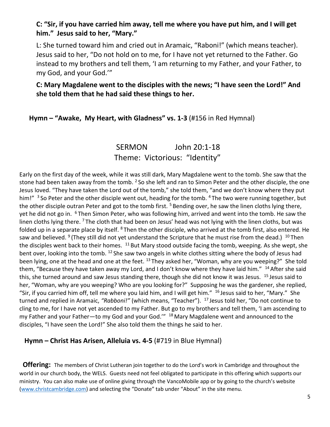## **C: "Sir, if you have carried him away, tell me where you have put him, and I will get him." Jesus said to her, "Mary."**

L: She turned toward him and cried out in Aramaic, "Raboni!" (which means teacher). Jesus said to her, "Do not hold on to me, for I have not yet returned to the Father. Go instead to my brothers and tell them, 'I am returning to my Father, and your Father, to my God, and your God.'"

# **C: Mary Magdalene went to the disciples with the news; "I have seen the Lord!" And she told them that he had said these things to her.**

#### **Hymn – "Awake, My Heart, with Gladness" vs. 1-3** (#156 in Red Hymnal)

# SERMON John 20:1-18 Theme: Victorious: "Identity"

Early on the first day of the week, while it was still dark, Mary Magdalene went to the tomb. She saw that the stone had been taken away from the tomb. <sup>2</sup> So she left and ran to Simon Peter and the other disciple, the one Jesus loved. "They have taken the Lord out of the tomb," she told them, "and we don't know where they put him!" <sup>3</sup> So Peter and the other disciple went out, heading for the tomb. <sup>4</sup> The two were running together, but the other disciple outran Peter and got to the tomb first.<sup>5</sup> Bending over, he saw the linen cloths lying there, yet he did not go in. <sup>6</sup> Then Simon Peter, who was following him, arrived and went into the tomb. He saw the linen cloths lying there. <sup>7</sup> The cloth that had been on Jesus' head was not lying with the linen cloths, but was folded up in a separate place by itself. <sup>8</sup> Then the other disciple, who arrived at the tomb first, also entered. He saw and believed. <sup>9</sup> (They still did not yet understand the Scripture that he must rise from the dead.) <sup>10</sup> Then the disciples went back to their homes.  $11$  But Mary stood outside facing the tomb, weeping. As she wept, she bent over, looking into the tomb. <sup>12</sup> She saw two angels in white clothes sitting where the body of Jesus had been lying, one at the head and one at the feet. <sup>13</sup> They asked her, "Woman, why are you weeping?" She told them, "Because they have taken away my Lord, and I don't know where they have laid him." <sup>14</sup> After she said this, she turned around and saw Jesus standing there, though she did not know it was Jesus. <sup>15</sup> Jesus said to her, "Woman, why are you weeping? Who are you looking for?" Supposing he was the gardener, she replied, "Sir, if you carried him off, tell me where you laid him, and I will get him." <sup>16</sup> Jesus said to her, "Mary." She turned and replied in Aramaic, *"Rabboni!"* (which means, "Teacher"). <sup>17</sup> Jesus told her, "Do not continue to cling to me, for I have not yet ascended to my Father. But go to my brothers and tell them, 'I am ascending to my Father and your Father-to my God and your God." <sup>18</sup> Mary Magdalene went and announced to the disciples, "I have seen the Lord!" She also told them the things he said to her.

#### **Hymn – Christ Has Arisen, Alleluia vs. 4-5** (#719 in Blue Hymnal)

 **Offering:** The members of Christ Lutheran join together to do the Lord's work in Cambridge and throughout the world in our church body, the WELS. Guests need not feel obligated to participate in this offering which supports our ministry. You can also make use of online giving through the VancoMobile app or by going to the church's website [\(www.christcambridge.com](http://www.christcambridge.com/)) and selecting the "Donate" tab under "About" in the site menu.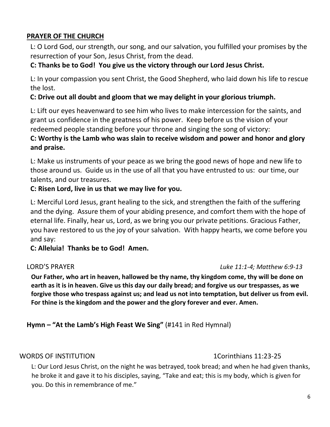# **PRAYER OF THE CHURCH**

L: O Lord God, our strength, our song, and our salvation, you fulfilled your promises by the resurrection of your Son, Jesus Christ, from the dead.

# **C: Thanks be to God! You give us the victory through our Lord Jesus Christ.**

L: In your compassion you sent Christ, the Good Shepherd, who laid down his life to rescue the lost.

# **C: Drive out all doubt and gloom that we may delight in your glorious triumph.**

L: Lift our eyes heavenward to see him who lives to make intercession for the saints, and grant us confidence in the greatness of his power. Keep before us the vision of your redeemed people standing before your throne and singing the song of victory:

# **C: Worthy is the Lamb who was slain to receive wisdom and power and honor and glory and praise.**

L: Make us instruments of your peace as we bring the good news of hope and new life to those around us. Guide us in the use of all that you have entrusted to us: our time, our talents, and our treasures.

# **C: Risen Lord, live in us that we may live for you.**

L: Merciful Lord Jesus, grant healing to the sick, and strengthen the faith of the suffering and the dying. Assure them of your abiding presence, and comfort them with the hope of eternal life. Finally, hear us, Lord, as we bring you our private petitions. Gracious Father, you have restored to us the joy of your salvation. With happy hearts, we come before you and say:

**C: Alleluia! Thanks be to God! Amen.**

#### LORD'S PRAYER *Luke 11:1-4; Matthew 6:9-13*

**Our Father, who art in heaven, hallowed be thy name, thy kingdom come, thy will be done on earth as it is in heaven. Give us this day our daily bread; and forgive us our trespasses, as we forgive those who trespass against us; and lead us not into temptation, but deliver us from evil. For thine is the kingdom and the power and the glory forever and ever. Amen.**

# **Hymn – "At the Lamb's High Feast We Sing"** (#141 in Red Hymnal)

#### WORDS OF INSTITUTION **1.1.23-25** 100 MM and the set of the set of the set of the set of the set of the set of the set of the set of the set of the set of the set of the set of the set of the set of the set of the set of th

L: Our Lord Jesus Christ, on the night he was betrayed, took bread; and when he had given thanks, he broke it and gave it to his disciples, saying, "Take and eat; this is my body, which is given for you. Do this in remembrance of me."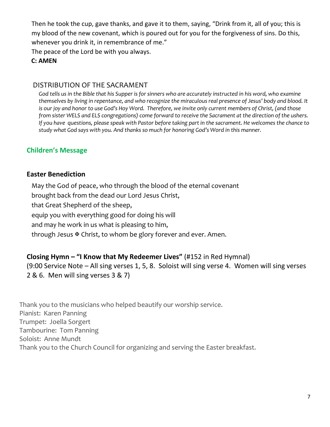Then he took the cup, gave thanks, and gave it to them, saying, "Drink from it, all of you; this is my blood of the new covenant, which is poured out for you for the forgiveness of sins. Do this, whenever you drink it, in remembrance of me."

The peace of the Lord be with you always.

#### **C: AMEN**

#### DISTRIBUTION OF THE SACRAMENT

*God tells us in the Bible that his Supper is for sinners who are accurately instructed in his word, who examine themselves by living in repentance, and who recognize the miraculous real presence of Jesus' body and blood. It is our joy and honor to use God's Hoy Word. Therefore, we invite only current members of Christ, (and those from sister WELS and ELS congregations) come forward to receive the Sacrament at the direction of the ushers. If you have questions, please speak with Pastor before taking part in the sacrament. He welcomes the chance to study what God says with you. And thanks so much for honoring God's Word in this manner.*

# **Children's Message**

#### **Easter Benediction**

May the God of peace, who through the blood of the eternal covenant brought back from the dead our Lord Jesus Christ, that Great Shepherd of the sheep, equip you with everything good for doing his will and may he work in us what is pleasing to him, through Jesus  $\mathbb F$  Christ, to whom be glory forever and ever. Amen.

# **Closing Hymn – "I Know that My Redeemer Lives"** (#152 in Red Hymnal)

(9:00 Service Note – All sing verses 1, 5, 8. Soloist will sing verse 4. Women will sing verses 2 & 6. Men will sing verses 3 & 7)

Thank you to the musicians who helped beautify our worship service. Pianist: Karen Panning Trumpet: Joella Sorgert Tambourine: Tom Panning Soloist: Anne Mundt Thank you to the Church Council for organizing and serving the Easter breakfast.